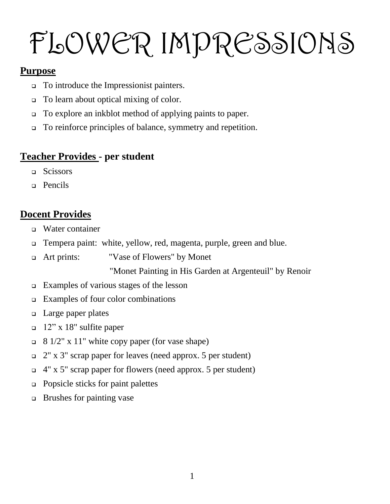# FLOWER IMPRESSIONS

#### **Purpose**

- To introduce the Impressionist painters.
- To learn about optical mixing of color.
- To explore an inkblot method of applying paints to paper.
- To reinforce principles of balance, symmetry and repetition.

# **Teacher Provides - per student**

- □ Scissors
- **Pencils**

# **Docent Provides**

- Water container
- Tempera paint: white, yellow, red, magenta, purple, green and blue.
- Art prints: "Vase of Flowers" by Monet

"Monet Painting in His Garden at Argenteuil" by Renoir

- Examples of various stages of the lesson
- $\Box$  Examples of four color combinations
- □ Large paper plates
- $\Box$  12" x 18" sulfite paper
- $\Box$  8 1/2" x 11" white copy paper (for vase shape)
- $\Box$  2" x 3" scrap paper for leaves (need approx. 5 per student)
- 4" x 5" scrap paper for flowers (need approx. 5 per student)
- □ Popsicle sticks for paint palettes
- $\Box$  Brushes for painting vase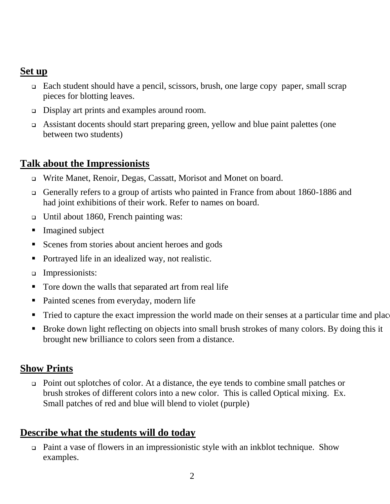## **Set up**

- Each student should have a pencil, scissors, brush, one large copy paper, small scrap pieces for blotting leaves.
- Display art prints and examples around room.
- Assistant docents should start preparing green, yellow and blue paint palettes (one between two students)

#### **Talk about the Impressionists**

- Write Manet, Renoir, Degas, Cassatt, Morisot and Monet on board.
- Generally refers to a group of artists who painted in France from about 1860-1886 and had joint exhibitions of their work. Refer to names on board.
- Until about 1860, French painting was:
- **Imagined subject**
- Scenes from stories about ancient heroes and gods
- Portrayed life in an idealized way, not realistic.
- Impressionists:
- Tore down the walls that separated art from real life
- Painted scenes from everyday, modern life
- Tried to capture the exact impression the world made on their senses at a particular time and place.
- **Broke down light reflecting on objects into small brush strokes of many colors. By doing this it** brought new brilliance to colors seen from a distance.

## **Show Prints**

 Point out splotches of color. At a distance, the eye tends to combine small patches or brush strokes of different colors into a new color. This is called Optical mixing. Ex. Small patches of red and blue will blend to violet (purple)

## **Describe what the students will do today**

 Paint a vase of flowers in an impressionistic style with an inkblot technique. Show examples.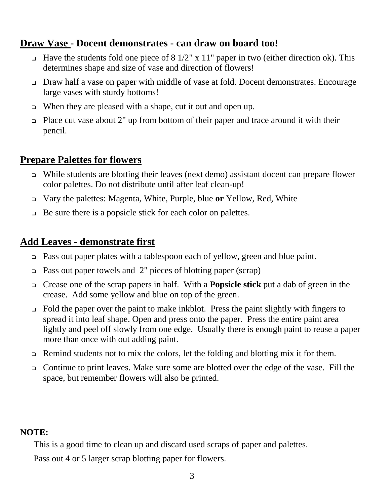#### **Draw Vase - Docent demonstrates - can draw on board too!**

- $\Box$  Have the students fold one piece of 8 1/2" x 11" paper in two (either direction ok). This determines shape and size of vase and direction of flowers!
- Draw half a vase on paper with middle of vase at fold. Docent demonstrates. Encourage large vases with sturdy bottoms!
- When they are pleased with a shape, cut it out and open up.
- $\Box$  Place cut vase about 2" up from bottom of their paper and trace around it with their pencil.

#### **Prepare Palettes for flowers**

- While students are blotting their leaves (next demo) assistant docent can prepare flower color palettes. Do not distribute until after leaf clean-up!
- Vary the palettes: Magenta, White, Purple, blue **or** Yellow, Red, White
- $\Box$  Be sure there is a popsicle stick for each color on palettes.

#### **Add Leaves - demonstrate first**

- Pass out paper plates with a tablespoon each of yellow, green and blue paint.
- Pass out paper towels and 2" pieces of blotting paper (scrap)
- Crease one of the scrap papers in half. With a **Popsicle stick** put a dab of green in the crease. Add some yellow and blue on top of the green.
- $\Box$  Fold the paper over the paint to make inkblot. Press the paint slightly with fingers to spread it into leaf shape. Open and press onto the paper. Press the entire paint area lightly and peel off slowly from one edge. Usually there is enough paint to reuse a paper more than once with out adding paint.
- $\Box$  Remind students not to mix the colors, let the folding and blotting mix it for them.
- Continue to print leaves. Make sure some are blotted over the edge of the vase. Fill the space, but remember flowers will also be printed.

#### **NOTE:**

This is a good time to clean up and discard used scraps of paper and palettes.

Pass out 4 or 5 larger scrap blotting paper for flowers.